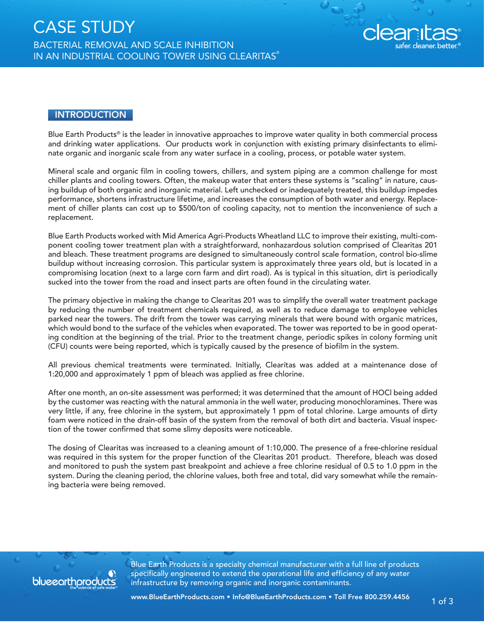

#### **INTRODUCTION**

Blue Earth Products® is the leader in innovative approaches to improve water quality in both commercial process and drinking water applications. Our products work in conjunction with existing primary disinfectants to eliminate organic and inorganic scale from any water surface in a cooling, process, or potable water system.

Mineral scale and organic film in cooling towers, chillers, and system piping are a common challenge for most chiller plants and cooling towers. Often, the makeup water that enters these systems is "scaling" in nature, causing buildup of both organic and inorganic material. Left unchecked or inadequately treated, this buildup impedes performance, shortens infrastructure lifetime, and increases the consumption of both water and energy. Replacement of chiller plants can cost up to \$500/ton of cooling capacity, not to mention the inconvenience of such a replacement.

Blue Earth Products worked with Mid America Agri-Products Wheatland LLC to improve their existing, multi-component cooling tower treatment plan with a straightforward, nonhazardous solution comprised of Clearitas 201 and bleach. These treatment programs are designed to simultaneously control scale formation, control bio-slime buildup without increasing corrosion. This particular system is approximately three years old, but is located in a compromising location (next to a large corn farm and dirt road). As is typical in this situation, dirt is periodically sucked into the tower from the road and insect parts are often found in the circulating water.

The primary objective in making the change to Clearitas 201 was to simplify the overall water treatment package by reducing the number of treatment chemicals required, as well as to reduce damage to employee vehicles parked near the towers. The drift from the tower was carrying minerals that were bound with organic matrices, which would bond to the surface of the vehicles when evaporated. The tower was reported to be in good operating condition at the beginning of the trial. Prior to the treatment change, periodic spikes in colony forming unit (CFU) counts were being reported, which is typically caused by the presence of biofilm in the system.

All previous chemical treatments were terminated. Initially, Clearitas was added at a maintenance dose of 1:20,000 and approximately 1 ppm of bleach was applied as free chlorine.

After one month, an on-site assessment was performed; it was determined that the amount of HOCl being added by the customer was reacting with the natural ammonia in the well water, producing monochloramines. There was very little, if any, free chlorine in the system, but approximately 1 ppm of total chlorine. Large amounts of dirty foam were noticed in the drain-off basin of the system from the removal of both dirt and bacteria. Visual inspection of the tower confirmed that some slimy deposits were noticeable.

The dosing of Clearitas was increased to a cleaning amount of 1:10,000. The presence of a free-chlorine residual was required in this system for the proper function of the Clearitas 201 product. Therefore, bleach was dosed and monitored to push the system past breakpoint and achieve a free chlorine residual of 0.5 to 1.0 ppm in the system. During the cleaning period, the chlorine values, both free and total, did vary somewhat while the remaining bacteria were being removed.



Blue Earth Products is a specialty chemical manufacturer with a full line of products specifically engineered to extend the operational life and efficiency of any water infrastructure by removing organic and inorganic contaminants.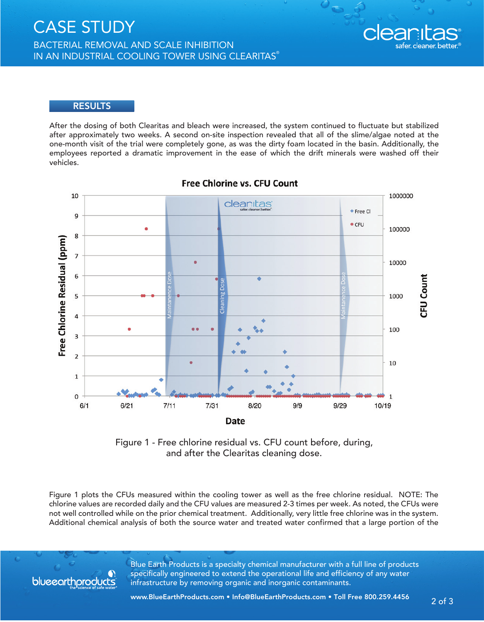BACTERIAL REMOVAL AND SCALE INHIBITION IN AN INDUSTRIAL COOLING TOWER USING CLEARITAS®

# clear

#### **RESULTS**

After the dosing of both Clearitas and bleach were increased, the system continued to fluctuate but stabilized after approximately two weeks. A second on-site inspection revealed that all of the slime/algae noted at the one-month visit of the trial were completely gone, as was the dirty foam located in the basin. Additionally, the employees reported a dramatic improvement in the ease of which the drift minerals were washed off their vehicles.



## **Free Chlorine vs. CFU Count**

Figure 1 - Free chlorine residual vs. CFU count before, during, and after the Clearitas cleaning dose.

Figure 1 plots the CFUs measured within the cooling tower as well as the free chlorine residual. NOTE: The chlorine values are recorded daily and the CFU values are measured 2-3 times per week. As noted, the CFUs were not well controlled while on the prior chemical treatment. Additionally, very little free chlorine was in the system. Additional chemical analysis of both the source water and treated water confirmed that a large portion of the



Blue Earth Products is a specialty chemical manufacturer with a full line of products specifically engineered to extend the operational life and efficiency of any water infrastructure by removing organic and inorganic contaminants.